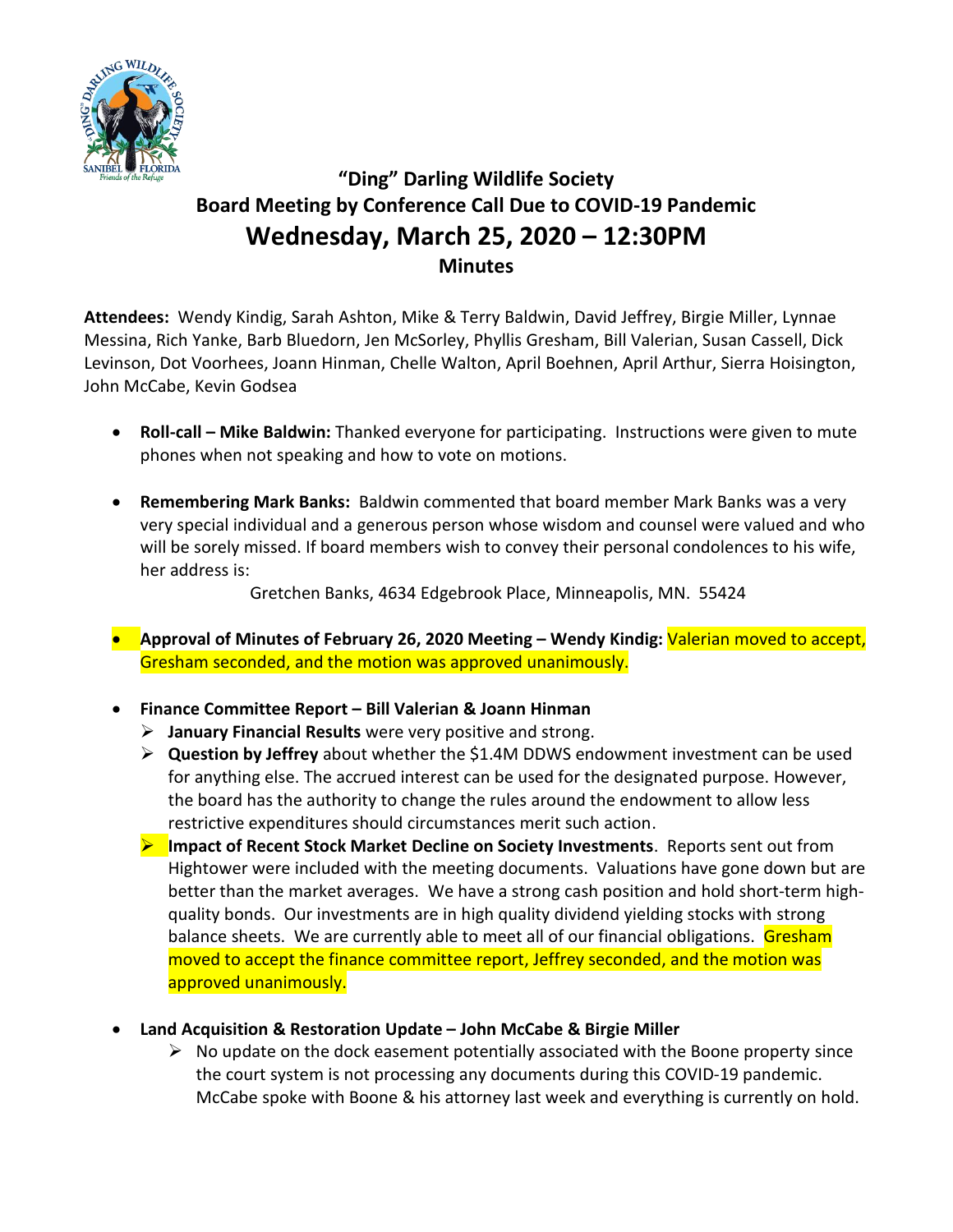

# **"Ding" Darling Wildlife Society Board Meeting by Conference Call Due to COVID-19 Pandemic Wednesday, March 25, 2020 – 12:30PM Minutes**

**Attendees:** Wendy Kindig, Sarah Ashton, Mike & Terry Baldwin, David Jeffrey, Birgie Miller, Lynnae Messina, Rich Yanke, Barb Bluedorn, Jen McSorley, Phyllis Gresham, Bill Valerian, Susan Cassell, Dick Levinson, Dot Voorhees, Joann Hinman, Chelle Walton, April Boehnen, April Arthur, Sierra Hoisington, John McCabe, Kevin Godsea

- **Roll-call – Mike Baldwin:** Thanked everyone for participating. Instructions were given to mute phones when not speaking and how to vote on motions.
- **Remembering Mark Banks:** Baldwin commented that board member Mark Banks was a very very special individual and a generous person whose wisdom and counsel were valued and who will be sorely missed. If board members wish to convey their personal condolences to his wife, her address is:

Gretchen Banks, 4634 Edgebrook Place, Minneapolis, MN. 55424

- **Approval of Minutes of February 26, 2020 Meeting – Wendy Kindig:** Valerian moved to accept, Gresham seconded, and the motion was approved unanimously.
- **Finance Committee Report – Bill Valerian & Joann Hinman**
	- ➢ **January Financial Results** were very positive and strong.
	- ➢ **Question by Jeffrey** about whether the \$1.4M DDWS endowment investment can be used for anything else. The accrued interest can be used for the designated purpose. However, the board has the authority to change the rules around the endowment to allow less restrictive expenditures should circumstances merit such action.
	- ➢ **Impact of Recent Stock Market Decline on Society Investments**. Reports sent out from Hightower were included with the meeting documents. Valuations have gone down but are better than the market averages. We have a strong cash position and hold short-term highquality bonds. Our investments are in high quality dividend yielding stocks with strong balance sheets. We are currently able to meet all of our financial obligations. Gresham moved to accept the finance committee report, Jeffrey seconded, and the motion was approved unanimously.
- **Land Acquisition & Restoration Update – John McCabe & Birgie Miller**
	- $\triangleright$  No update on the dock easement potentially associated with the Boone property since the court system is not processing any documents during this COVID-19 pandemic. McCabe spoke with Boone & his attorney last week and everything is currently on hold.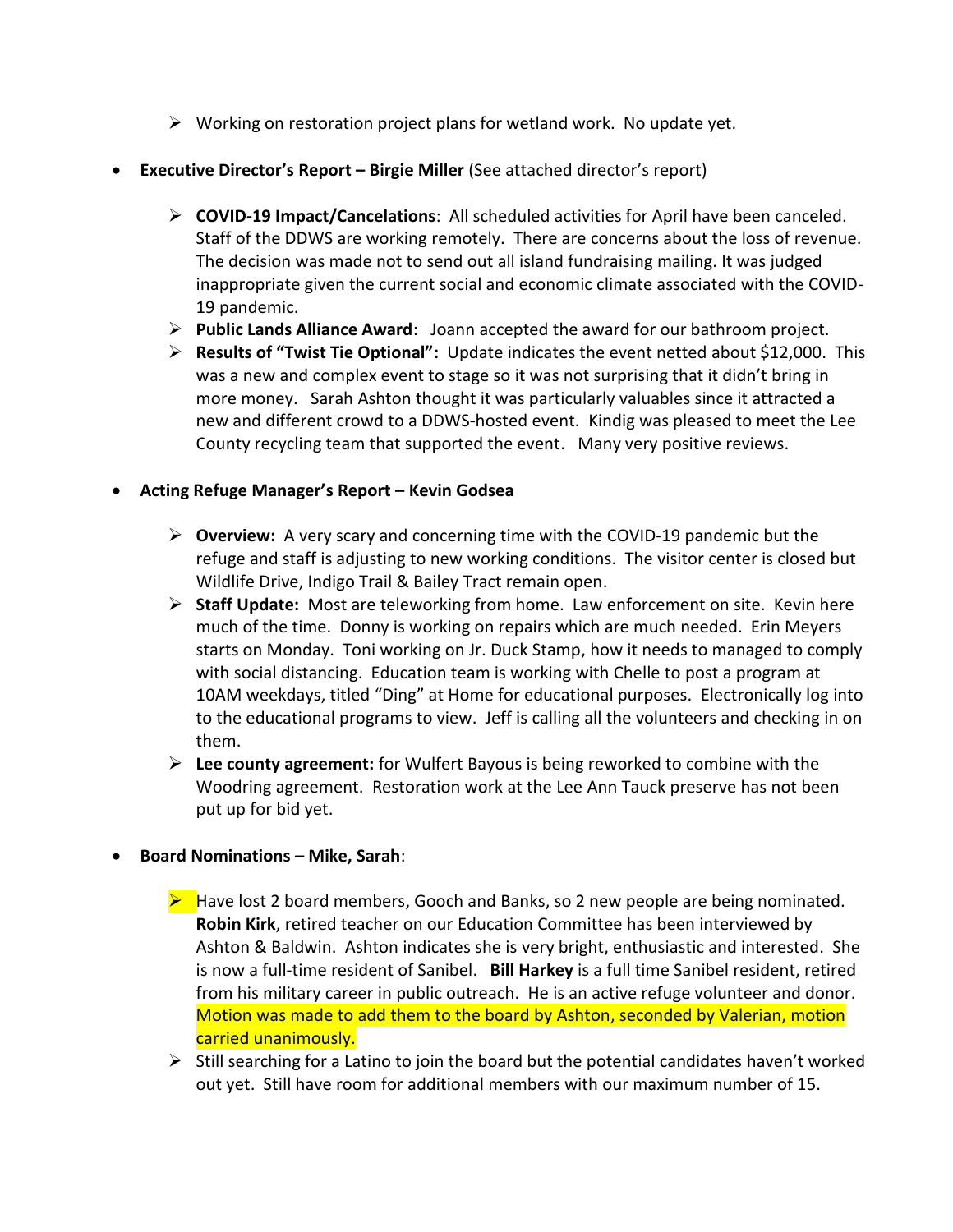- $\triangleright$  Working on restoration project plans for wetland work. No update yet.
- **Executive Director's Report – Birgie Miller** (See attached director's report)
	- ➢ **COVID-19 Impact/Cancelations**: All scheduled activities for April have been canceled. Staff of the DDWS are working remotely. There are concerns about the loss of revenue. The decision was made not to send out all island fundraising mailing. It was judged inappropriate given the current social and economic climate associated with the COVID-19 pandemic.
	- ➢ **Public Lands Alliance Award**: Joann accepted the award for our bathroom project.
	- ➢ **Results of "Twist Tie Optional":** Update indicates the event netted about \$12,000. This was a new and complex event to stage so it was not surprising that it didn't bring in more money. Sarah Ashton thought it was particularly valuables since it attracted a new and different crowd to a DDWS-hosted event. Kindig was pleased to meet the Lee County recycling team that supported the event. Many very positive reviews.

# • **Acting Refuge Manager's Report – Kevin Godsea**

- ➢ **Overview:** A very scary and concerning time with the COVID-19 pandemic but the refuge and staff is adjusting to new working conditions. The visitor center is closed but Wildlife Drive, Indigo Trail & Bailey Tract remain open.
- ➢ **Staff Update:** Most are teleworking from home. Law enforcement on site. Kevin here much of the time. Donny is working on repairs which are much needed. Erin Meyers starts on Monday. Toni working on Jr. Duck Stamp, how it needs to managed to comply with social distancing. Education team is working with Chelle to post a program at 10AM weekdays, titled "Ding" at Home for educational purposes. Electronically log into to the educational programs to view. Jeff is calling all the volunteers and checking in on them.
- ➢ **Lee county agreement:** for Wulfert Bayous is being reworked to combine with the Woodring agreement. Restoration work at the Lee Ann Tauck preserve has not been put up for bid yet.

# • **Board Nominations – Mike, Sarah**:

- ➢ Have lost 2 board members, Gooch and Banks, so 2 new people are being nominated. **Robin Kirk**, retired teacher on our Education Committee has been interviewed by Ashton & Baldwin. Ashton indicates she is very bright, enthusiastic and interested. She is now a full-time resident of Sanibel. **Bill Harkey** is a full time Sanibel resident, retired from his military career in public outreach. He is an active refuge volunteer and donor. Motion was made to add them to the board by Ashton, seconded by Valerian, motion carried unanimously.
- $\triangleright$  Still searching for a Latino to join the board but the potential candidates haven't worked out yet. Still have room for additional members with our maximum number of 15.